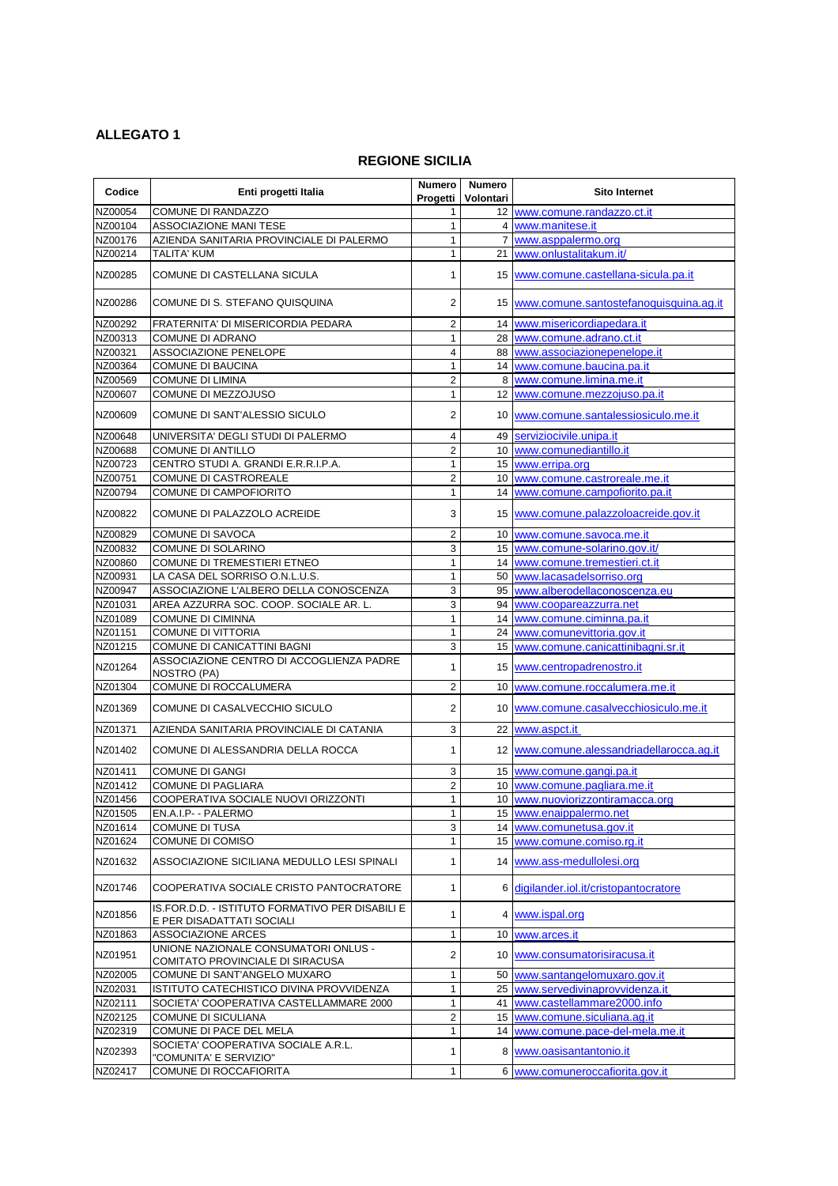## **ALLEGATO 1**

## **REGIONE SICILIA**

| Codice             | Enti progetti Italia                                              | <b>Numero</b><br>Progetti      | <b>Numero</b><br>Volontari | <b>Sito Internet</b>                      |
|--------------------|-------------------------------------------------------------------|--------------------------------|----------------------------|-------------------------------------------|
| NZ00054            | COMUNE DI RANDAZZO                                                | 1                              |                            | 12 www.comune.randazzo.ct.it              |
| NZ00104            | <b>ASSOCIAZIONE MANI TESE</b>                                     | $\mathbf{1}$                   |                            | 4 www.manitese.it                         |
| NZ00176            | AZIENDA SANITARIA PROVINCIALE DI PALERMO                          | $\mathbf{1}$                   |                            | 7 www.asppalermo.org                      |
| NZ00214            | <b>TALITA' KUM</b>                                                | $\mathbf 1$                    |                            | 21 www.onlustalitakum.it/                 |
| NZ00285            | COMUNE DI CASTELLANA SICULA                                       | 1                              |                            | 15 www.comune.castellana-sicula.pa.it     |
| NZ00286            | COMUNE DI S. STEFANO QUISQUINA                                    | $\overline{c}$                 |                            | 15 www.comune.santostefanoquisquina.ag.it |
| NZ00292            | FRATERNITA' DI MISERICORDIA PEDARA                                | $\overline{2}$                 |                            | 14 www.misericordiapedara.it              |
| NZ00313            | <b>COMUNE DI ADRANO</b>                                           | $\mathbf{1}$                   |                            | 28 www.comune.adrano.ct.it                |
| NZ00321            | ASSOCIAZIONE PENELOPE                                             | $\overline{\mathbf{4}}$        |                            | 88 www.associazionepenelope.it            |
| NZ00364            | <b>COMUNE DI BAUCINA</b>                                          | $\mathbf 1$                    |                            | 14 www.comune.baucina.pa.it               |
| NZ00569            | <b>COMUNE DI LIMINA</b>                                           | $\overline{c}$                 |                            | 8 www.comune.limina.me.it                 |
| NZ00607            | COMUNE DI MEZZOJUSO                                               | $\mathbf 1$                    |                            | 12 www.comune.mezzojuso.pa.it             |
| NZ00609            | COMUNE DI SANT'ALESSIO SICULO                                     | 2                              |                            | 10 www.comune.santalessiosiculo.me.it     |
| NZ00648            | UNIVERSITA' DEGLI STUDI DI PALERMO                                | $\overline{4}$                 |                            | 49 serviziocivile.unipa.it                |
| NZ00688            | <b>COMUNE DI ANTILLO</b>                                          | $\overline{c}$                 |                            | 10 www.comunediantillo.it                 |
| NZ00723            | CENTRO STUDI A. GRANDI E.R.R.I.P.A.                               | $\mathbf{1}$                   |                            | 15 www.erripa.org                         |
| NZ00751            | COMUNE DI CASTROREALE                                             | $\overline{a}$                 |                            | 10 www.comune.castroreale.me.it           |
| NZ00794            | COMUNE DI CAMPOFIORITO                                            | 1                              |                            | 14 www.comune.campofiorito.pa.it          |
| NZ00822            | COMUNE DI PALAZZOLO ACREIDE                                       | 3                              |                            | 15 www.comune.palazzoloacreide.gov.it     |
| NZ00829            | COMUNE DI SAVOCA                                                  | $\overline{c}$                 |                            | 10 www.comune.savoca.me.it                |
| NZ00832            | COMUNE DI SOLARINO                                                | 3                              |                            | 15 www.comune-solarino.gov.it/            |
| NZ00860            | COMUNE DI TREMESTIERI ETNEO                                       | $\mathbf 1$                    |                            | 14 www.comune.tremestieri.ct.it           |
| NZ00931            | LA CASA DEL SORRISO O.N.L.U.S.                                    | $\mathbf{1}$                   |                            | 50 www.lacasadelsorriso.org               |
| NZ00947            | ASSOCIAZIONE L'ALBERO DELLA CONOSCENZA                            | 3                              |                            | 95 www.alberodellaconoscenza.eu           |
| NZ01031            | AREA AZZURRA SOC. COOP. SOCIALE AR. L.                            | 3                              |                            | 94 www.coopareazzurra.net                 |
| NZ01089            | <b>COMUNE DI CIMINNA</b>                                          | $\mathbf 1$                    |                            | 14 www.comune.ciminna.pa.it               |
| NZ01151            | <b>COMUNE DI VITTORIA</b>                                         | 1                              |                            | 24 www.comunevittoria.gov.it              |
| NZ01215            | COMUNE DI CANICATTINI BAGNI                                       | 3                              |                            | 15 www.comune.canicattinibagni.sr.it      |
| NZ01264            | ASSOCIAZIONE CENTRO DI ACCOGLIENZA PADRE<br>NOSTRO (PA)           | 1                              |                            | 15 www.centropadrenostro.it               |
| NZ01304            | COMUNE DI ROCCALUMERA                                             | $\overline{2}$                 |                            | 10 www.comune.roccalumera.me.it           |
| NZ01369            | COMUNE DI CASALVECCHIO SICULO                                     | $\overline{2}$                 |                            | 10 www.comune.casalvecchiosiculo.me.it    |
| NZ01371            | AZIENDA SANITARIA PROVINCIALE DI CATANIA                          | 3                              |                            | 22 www.aspct.it                           |
| NZ01402            | COMUNE DI ALESSANDRIA DELLA ROCCA                                 | $\mathbf{1}$                   |                            | 12 www.comune.alessandriadellarocca.ag.it |
| NZ01411            | <b>COMUNE DI GANGI</b>                                            | 3                              |                            | 15 www.comune.gangi.pa.it                 |
| NZ01412            | <b>COMUNE DI PAGLIARA</b>                                         | $\overline{a}$                 |                            | 10 www.comune.pagliara.me.it              |
| NZ01456            | COOPERATIVA SOCIALE NUOVI ORIZZONTI                               | $\mathbf{1}$                   |                            | 10 www.nuoviorizzontiramacca.org          |
| NZ01505            | EN.A.I.P- - PALERMO                                               | $\mathbf 1$                    |                            | 15 www.enaippalermo.net                   |
| NZ01614            | COMUNE DI TUSA                                                    | 3                              |                            | 14 www.comunetusa.gov.it                  |
| NZ01624            | COMUNE DI COMISO                                                  | $\mathbf 1$                    |                            | 15 www.comune.comiso.rg.it                |
| NZ01632            | ASSOCIAZIONE SICILIANA MEDULLO LESI SPINALI                       | 1                              |                            | 14 www.ass-medullolesi.org                |
| NZ01746            | COOPERATIVA SOCIALE CRISTO PANTOCRATORE                           | $\mathbf{1}$                   |                            | 6 digilander.iol.it/cristopantocratore    |
| NZ01856            | IS.FOR.D.D. - ISTITUTO FORMATIVO PER DISABILI E                   | 1                              |                            | 4 www.ispal.org                           |
|                    | E PER DISADATTATI SOCIALI                                         |                                |                            |                                           |
| NZ01863            | <b>ASSOCIAZIONE ARCES</b><br>UNIONE NAZIONALE CONSUMATORI ONLUS - | $\mathbf{1}$                   |                            | 10 www.arces.it                           |
| NZ01951            | COMITATO PROVINCIALE DI SIRACUSA                                  | $\overline{c}$                 |                            | 10 www.consumatorisiracusa.it             |
| NZ02005            | COMUNE DI SANT'ANGELO MUXARO                                      | $\mathbf 1$                    |                            | 50 www.santangelomuxaro.gov.it            |
| NZ02031            | ISTITUTO CATECHISTICO DIVINA PROVVIDENZA                          | 1                              |                            | 25 www.servedivinaprovvidenza.it          |
| NZ02111            | SOCIETA' COOPERATIVA CASTELLAMMARE 2000                           | 1                              |                            | 41 www.castellammare2000.info             |
| NZ02125<br>NZ02319 | COMUNE DI SICULIANA<br>COMUNE DI PACE DEL MELA                    | $\overline{c}$<br>$\mathbf{1}$ |                            | 15 www.comune.siculiana.ag.it             |
|                    | SOCIETA' COOPERATIVA SOCIALE A.R.L.                               |                                |                            | 14 www.comune.pace-del-mela.me.it         |
| NZ02393            | "COMUNITA' E SERVIZIO"                                            | 1                              |                            | 8 www.oasisantantonio.it                  |
| NZ02417            | COMUNE DI ROCCAFIORITA                                            | $\mathbf{1}$                   |                            | 6 www.comuneroccafiorita.gov.it           |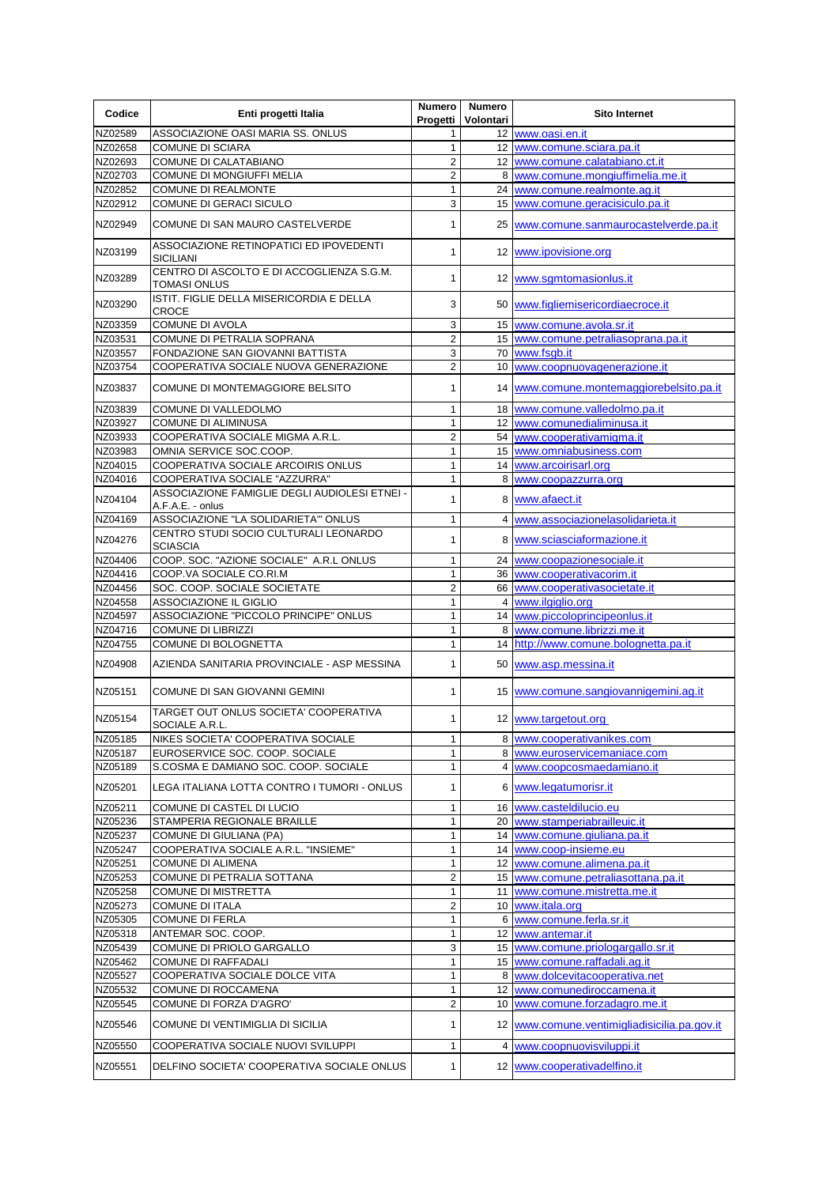| Codice             | Enti progetti Italia                                              | <b>Numero</b><br>Progetti | <b>Numero</b><br>Volontari | <b>Sito Internet</b>                                                           |
|--------------------|-------------------------------------------------------------------|---------------------------|----------------------------|--------------------------------------------------------------------------------|
| NZ02589            | ASSOCIAZIONE OASI MARIA SS. ONLUS                                 | 1                         |                            | 12 www.oasi.en.it                                                              |
| NZ02658            | <b>COMUNE DI SCIARA</b>                                           | 1                         |                            | 12 www.comune.sciara.pa.it                                                     |
| NZ02693            | COMUNE DI CALATABIANO                                             | $\overline{2}$            |                            | 12 www.comune.calatabiano.ct.it                                                |
| NZ02703            | COMUNE DI MONGIUFFI MELIA                                         | 2                         |                            | 8 www.comune.mongiuffimelia.me.it                                              |
| NZ02852            | <b>COMUNE DI REALMONTE</b>                                        | 1                         |                            | 24 www.comune.realmonte.ag.it                                                  |
| NZ02912            | COMUNE DI GERACI SICULO                                           | 3                         |                            | 15  www.comune.geracisiculo.pa.it                                              |
| NZ02949            | COMUNE DI SAN MAURO CASTELVERDE                                   |                           |                            | 25 www.comune.sanmaurocastelverde.pa.it                                        |
| NZ03199            | ASSOCIAZIONE RETINOPATICI ED IPOVEDENTI<br><b>SICILIANI</b>       | 1                         |                            | 12 www.ipovisione.org                                                          |
| NZ03289            | CENTRO DI ASCOLTO E DI ACCOGLIENZA S.G.M.<br><b>TOMASI ONLUS</b>  | 1                         |                            | 12 www.sgmtomasionlus.it                                                       |
| NZ03290            | ISTIT. FIGLIE DELLA MISERICORDIA E DELLA<br><b>CROCE</b>          | 3                         |                            | 50 www.figliemisericordiaecroce.it                                             |
| NZ03359            | <b>COMUNE DI AVOLA</b>                                            | 3                         |                            | 15 www.comune.avola.sr.it                                                      |
| NZ03531            | COMUNE DI PETRALIA SOPRANA                                        | $\overline{c}$            |                            | 15 www.comune.petraliasoprana.pa.it                                            |
| NZ03557            | FONDAZIONE SAN GIOVANNI BATTISTA                                  | 3                         |                            | 70 www.fsgb.it                                                                 |
| NZ03754            | COOPERATIVA SOCIALE NUOVA GENERAZIONE                             | 2                         |                            | 10 www.coopnuovagenerazione.it                                                 |
| NZ03837            | COMUNE DI MONTEMAGGIORE BELSITO                                   | 1                         |                            | 14 www.comune.montemaggiorebelsito.pa.it                                       |
| NZ03839            | COMUNE DI VALLEDOLMO                                              | 1                         |                            | 18 www.comune.valledolmo.pa.it                                                 |
| NZ03927            | <b>COMUNE DI ALIMINUSA</b>                                        | 1                         |                            | 12 www.comunedialiminusa.it                                                    |
| NZ03933            | COOPERATIVA SOCIALE MIGMA A.R.L.                                  | $\overline{c}$            |                            | 54 www.cooperativamigma.it                                                     |
| NZ03983            | OMNIA SERVICE SOC.COOP.                                           | 1                         |                            | 15 www.omniabusiness.com                                                       |
| NZ04015            | COOPERATIVA SOCIALE ARCOIRIS ONLUS                                | 1                         |                            | 14 www.arcoirisarl.org                                                         |
| NZ04016            | COOPERATIVA SOCIALE "AZZURRA"                                     | 1                         |                            | 8 www.coopazzurra.org                                                          |
| NZ04104            | ASSOCIAZIONE FAMIGLIE DEGLI AUDIOLESI ETNEI -<br>A.F.A.E. - onlus | 1                         |                            | 8 www.afaect.it                                                                |
| NZ04169            | ASSOCIAZIONE "LA SOLIDARIETA" ONLUS                               | 1                         |                            | 4 www.associazionelasolidarieta.it                                             |
| NZ04276            | CENTRO STUDI SOCIO CULTURALI LEONARDO<br><b>SCIASCIA</b>          | 1                         |                            | 8 www.sciasciaformazione.it                                                    |
| NZ04406            | COOP. SOC. "AZIONE SOCIALE" A.R.L ONLUS                           | 1                         |                            | 24 www.coopazionesociale.it                                                    |
| NZ04416            | COOP.VA SOCIALE CO.RI.M                                           | 1                         |                            | 36 www.cooperativacorim.it                                                     |
| NZ04456            | SOC. COOP. SOCIALE SOCIETATE                                      | 2                         |                            | 66 www.cooperativasocietate.it                                                 |
| NZ04558            | ASSOCIAZIONE IL GIGLIO                                            | 1                         |                            | 4 www.ilgiglio.org                                                             |
| NZ04597            | ASSOCIAZIONE "PICCOLO PRINCIPE" ONLUS                             | 1                         |                            | 14 www.piccoloprincipeonlus.it                                                 |
| NZ04716            | <b>COMUNE DI LIBRIZZI</b>                                         | 1                         |                            | 8 www.comune.librizzi.me.it                                                    |
| NZ04755            | COMUNE DI BOLOGNETTA                                              | 1                         |                            | 14 http://www.comune.bolognetta.pa.it                                          |
| NZ04908            | AZIENDA SANITARIA PROVINCIALE - ASP MESSINA                       | 1                         |                            | 50 www.asp.messina.it                                                          |
| NZ05151            | COMUNE DI SAN GIOVANNI GEMINI                                     | 1                         |                            | 15 www.comune.sangiovannigemini.ag.it                                          |
| NZ05154            | TARGET OUT ONLUS SOCIETA' COOPERATIVA<br>SOCIALE A.R.L.           | 1                         |                            | 12 www.targetout.org                                                           |
| NZ05185            | NIKES SOCIETA' COOPERATIVA SOCIALE                                | 1                         |                            | 8 www.cooperativanikes.com                                                     |
| NZ05187            | EUROSERVICE SOC. COOP. SOCIALE                                    | 1                         |                            | 8 www.euroservicemaniace.com                                                   |
| NZ05189            | S.COSMA E DAMIANO SOC. COOP. SOCIALE                              | 1                         |                            | 4 www.coopcosmaedamiano.it                                                     |
| NZ05201            | LEGA ITALIANA LOTTA CONTRO I TUMORI - ONLUS                       | 1                         |                            | 6 www.legatumorisr.it                                                          |
| NZ05211            | COMUNE DI CASTEL DI LUCIO                                         | 1                         |                            | 16 www.casteldilucio.eu                                                        |
| NZ05236            | STAMPERIA REGIONALE BRAILLE                                       | 1                         |                            | 20 www.stamperiabrailleuic.it                                                  |
| NZ05237            | COMUNE DI GIULIANA (PA)                                           | 1                         |                            | 14 www.comune.giuliana.pa.it                                                   |
| NZ05247            | COOPERATIVA SOCIALE A.R.L. "INSIEME"                              | 1                         |                            | 14 www.coop-insieme.eu                                                         |
| NZ05251            | <b>COMUNE DI ALIMENA</b>                                          | 1                         |                            | 12 www.comune.alimena.pa.it                                                    |
| NZ05253            | COMUNE DI PETRALIA SOTTANA                                        | $\overline{c}$            |                            | 15 www.comune.petraliasottana.pa.it                                            |
| NZ05258            | COMUNE DI MISTRETTA                                               | 1                         |                            | 11 www.comune.mistretta.me.it                                                  |
| NZ05273            | <b>COMUNE DI ITALA</b>                                            | 2                         |                            | 10 www.itala.org                                                               |
| NZ05305            | <b>COMUNE DI FERLA</b>                                            | 1                         |                            | 6 www.comune.ferla.sr.it                                                       |
| NZ05318            | ANTEMAR SOC. COOP.                                                | 1                         |                            | 12 www.antemar.it                                                              |
| NZ05439            | COMUNE DI PRIOLO GARGALLO                                         | 3                         |                            | 15 www.comune.priologargallo.sr.it                                             |
| NZ05462            | <b>COMUNE DI RAFFADALI</b>                                        | 1                         |                            | 15 www.comune.raffadali.ag.it                                                  |
| NZ05527            | COOPERATIVA SOCIALE DOLCE VITA                                    | 1                         |                            | 8 www.dolcevitacooperativa.net                                                 |
| NZ05532            | COMUNE DI ROCCAMENA                                               | 1                         |                            | 12 www.comunediroccamena.it                                                    |
| NZ05545<br>NZ05546 | COMUNE DI FORZA D'AGRO'<br>COMUNE DI VENTIMIGLIA DI SICILIA       | 2<br>1                    |                            | 10 www.comune.forzadagro.me.it<br>12 www.comune.ventimigliadisicilia.pa.gov.it |
| NZ05550            | COOPERATIVA SOCIALE NUOVI SVILUPPI                                | 1                         |                            | 4 www.coopnuovisviluppi.it                                                     |
| NZ05551            | DELFINO SOCIETA' COOPERATIVA SOCIALE ONLUS                        | 1                         |                            | 12 www.cooperativadelfino.it                                                   |
|                    |                                                                   |                           |                            |                                                                                |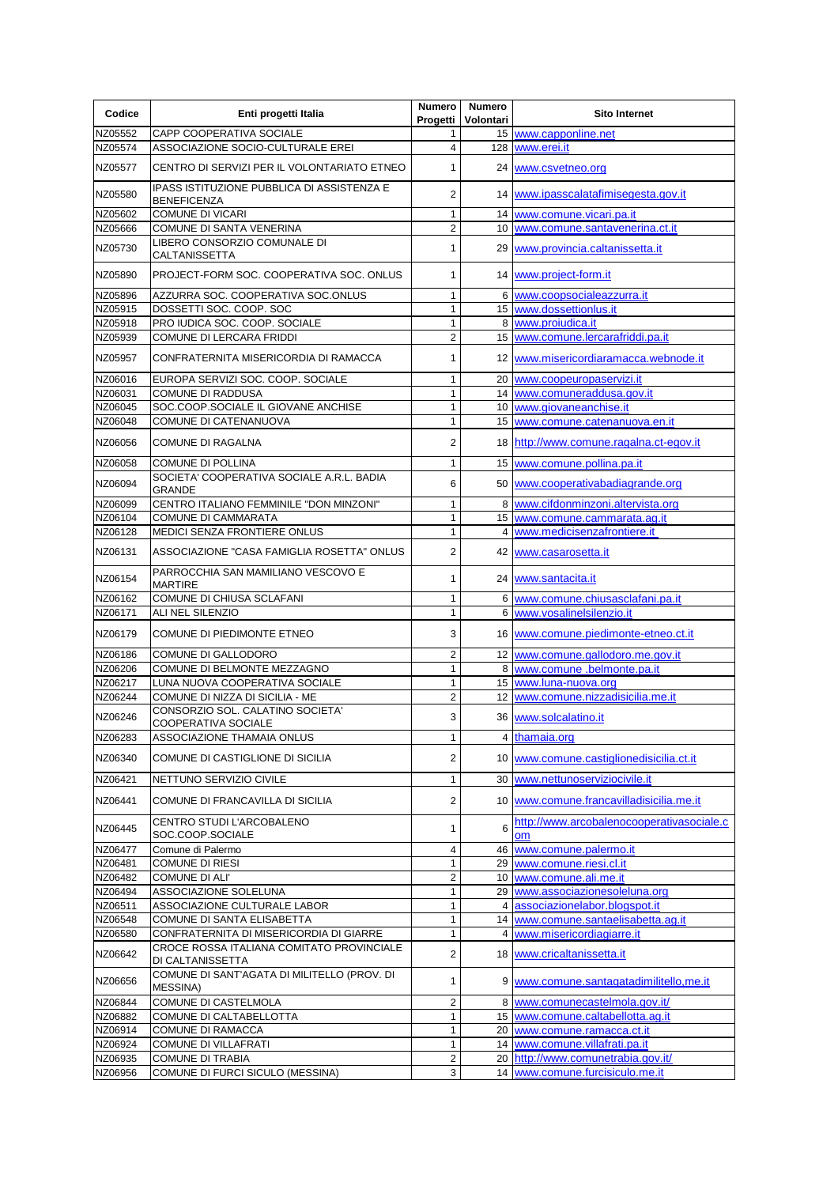| Codice  | Enti progetti Italia                                             | <b>Numero</b><br>Progetti | <b>Numero</b><br>Volontari | <b>Sito Internet</b>                                   |
|---------|------------------------------------------------------------------|---------------------------|----------------------------|--------------------------------------------------------|
| NZ05552 | CAPP COOPERATIVA SOCIALE                                         |                           |                            | 15 www.capponline.net                                  |
| NZ05574 | ASSOCIAZIONE SOCIO-CULTURALE EREI                                | 4                         |                            | 128 www.erei.it                                        |
| NZ05577 | CENTRO DI SERVIZI PER IL VOLONTARIATO ETNEO                      | 1                         |                            | 24 www.csvetneo.org                                    |
| NZ05580 | IPASS ISTITUZIONE PUBBLICA DI ASSISTENZA E<br><b>BENEFICENZA</b> | $\overline{2}$            |                            | 14 www.ipasscalatafimisegesta.gov.it                   |
| NZ05602 | <b>COMUNE DI VICARI</b>                                          | $\mathbf{1}$              |                            | 14 www.comune.vicari.pa.it                             |
| NZ05666 | COMUNE DI SANTA VENERINA                                         | $\overline{c}$            |                            | 10 www.comune.santavenerina.ct.it                      |
| NZ05730 | LIBERO CONSORZIO COMUNALE DI<br>CALTANISSETTA                    | 1                         |                            | 29   www.provincia.caltanissetta.it                    |
| NZ05890 | PROJECT-FORM SOC. COOPERATIVA SOC. ONLUS                         | 1                         |                            | 14 www.project-form.it                                 |
| NZ05896 | AZZURRA SOC. COOPERATIVA SOC.ONLUS                               | 1                         |                            | 6 www.coopsocialeazzurra.it                            |
| NZ05915 | DOSSETTI SOC. COOP. SOC                                          | $\mathbf{1}$              |                            | 15 www.dossettionlus.it                                |
| NZ05918 | PRO IUDICA SOC. COOP. SOCIALE                                    | 1                         |                            | 8 www.projudica.it                                     |
| NZ05939 | COMUNE DI LERCARA FRIDDI                                         | 2                         |                            | 15 www.comune.lercarafriddi.pa.it                      |
| NZ05957 | CONFRATERNITA MISERICORDIA DI RAMACCA                            | 1                         |                            | 12 www.misericordiaramacca.webnode.it                  |
| NZ06016 | EUROPA SERVIZI SOC. COOP. SOCIALE                                | 1                         |                            | 20 www.coopeuropaservizi.it                            |
| NZ06031 | COMUNE DI RADDUSA                                                | 1                         |                            | 14 www.comuneraddusa.gov.it                            |
| NZ06045 | SOC.COOP.SOCIALE IL GIOVANE ANCHISE                              | 1                         |                            | 10 www.giovaneanchise.it                               |
| NZ06048 | COMUNE DI CATENANUOVA                                            | 1                         |                            | 15 www.comune.catenanuova.en.it                        |
| NZ06056 | <b>COMUNE DI RAGALNA</b>                                         | $\overline{2}$            |                            | 18 http://www.comune.ragalna.ct-egov.it                |
| NZ06058 | <b>COMUNE DI POLLINA</b>                                         | 1                         |                            | 15 www.comune.pollina.pa.it                            |
| NZ06094 | SOCIETA' COOPERATIVA SOCIALE A.R.L. BADIA<br><b>GRANDE</b>       | 6                         |                            | 50 www.cooperativabadiagrande.org                      |
| NZ06099 | CENTRO ITALIANO FEMMINILE "DON MINZONI"                          | 1                         |                            | 8 www.cifdonminzoni.altervista.org                     |
| NZ06104 | <b>COMUNE DI CAMMARATA</b>                                       | 1                         |                            | 15 www.comune.cammarata.ag.it                          |
| NZ06128 | MEDICI SENZA FRONTIERE ONLUS                                     | 1                         |                            | 4 www.medicisenzafrontiere.it                          |
| NZ06131 | ASSOCIAZIONE "CASA FAMIGLIA ROSETTA" ONLUS                       | $\overline{c}$            |                            | 42 www.casarosetta.it                                  |
| NZ06154 | PARROCCHIA SAN MAMILIANO VESCOVO E<br><b>MARTIRE</b>             | 1                         |                            | 24 www.santacita.it                                    |
| NZ06162 | COMUNE DI CHIUSA SCLAFANI                                        | 1                         |                            | 6 www.comune.chiusasclafani.pa.it                      |
| NZ06171 | ALI NEL SILENZIO                                                 | 1.                        |                            | 6 www.vosalinelsilenzio.it                             |
| NZ06179 | COMUNE DI PIEDIMONTE ETNEO                                       | 3                         |                            | 16 www.comune.piedimonte-etneo.ct.it                   |
| NZ06186 | COMUNE DI GALLODORO                                              | 2                         |                            | 12 www.comune.gallodoro.me.gov.it                      |
| NZ06206 | COMUNE DI BELMONTE MEZZAGNO                                      | 1                         |                            | 8 www.comune .belmonte.pa.it                           |
| NZ06217 | LUNA NUOVA COOPERATIVA SOCIALE                                   | 1                         |                            | 15 www.luna-nuova.org                                  |
| NZ06244 | COMUNE DI NIZZA DI SICILIA - ME                                  | 2                         |                            | 12 www.comune.nizzadisicilia.me.it                     |
| NZ06246 | CONSORZIO SOL. CALATINO SOCIETA'<br>COOPERATIVA SOCIALE          | 3                         |                            | 36 www.solcalatino.it                                  |
| NZ06283 | ASSOCIAZIONE THAMAIA ONLUS                                       | 1                         |                            | 4 thamaia.org                                          |
| NZ06340 | COMUNE DI CASTIGLIONE DI SICILIA                                 | 2                         |                            | 10 www.comune.castiglionedisicilia.ct.it               |
| NZ06421 | NETTUNO SERVIZIO CIVILE                                          | 1                         |                            | 30 www.nettunoserviziocivile.it                        |
| NZ06441 | COMUNE DI FRANCAVILLA DI SICILIA                                 | 2                         |                            | 10 www.comune.francavilladisicilia.me.it               |
| NZ06445 | CENTRO STUDI L'ARCOBALENO<br>SOC.COOP.SOCIALE                    | 1                         | 6                          | http://www.arcobalenocooperativasociale.c<br><b>om</b> |
| NZ06477 | Comune di Palermo                                                | 4                         |                            | 46 www.comune.palermo.it                               |
| NZ06481 | <b>COMUNE DI RIESI</b>                                           | 1                         |                            | 29 www.comune.riesi.cl.it                              |
| NZ06482 | <b>COMUNE DI ALI'</b>                                            | $\overline{c}$            |                            | 10 www.comune.ali.me.it                                |
| NZ06494 | ASSOCIAZIONE SOLELUNA                                            | 1                         |                            | 29 www.associazionesoleluna.org                        |
| NZ06511 | ASSOCIAZIONE CULTURALE LABOR                                     | 1                         |                            | 4 associazionelabor.blogspot.it                        |
| NZ06548 | COMUNE DI SANTA ELISABETTA                                       | 1                         |                            | 14 www.comune.santaelisabetta.ag.it                    |
| NZ06580 | CONFRATERNITA DI MISERICORDIA DI GIARRE                          | 1                         |                            | 4 www.misericordiagiarre.it                            |
| NZ06642 | CROCE ROSSA ITALIANA COMITATO PROVINCIALE<br>DI CALTANISSETTA    | 2                         |                            | 18 www.cricaltanissetta.it                             |
| NZ06656 | COMUNE DI SANT'AGATA DI MILITELLO (PROV. DI<br><b>MESSINA)</b>   | 1                         |                            | 9 www.comune.santagatadimilitello, me.it               |
| NZ06844 | COMUNE DI CASTELMOLA                                             | 2                         |                            | 8 www.comunecastelmola.gov.it/                         |
| NZ06882 | COMUNE DI CALTABELLOTTA                                          | 1                         |                            | 15 www.comune.caltabellotta.ag.it                      |
| NZ06914 | COMUNE DI RAMACCA                                                | 1                         |                            | 20 www.comune.ramacca.ct.it                            |
| NZ06924 | <b>COMUNE DI VILLAFRATI</b>                                      | 1                         |                            | 14 www.comune.villafrati.pa.it                         |
| NZ06935 | <b>COMUNE DI TRABIA</b>                                          | $\overline{c}$            |                            | 20 http://www.comunetrabia.gov.it/                     |
| NZ06956 | COMUNE DI FURCI SICULO (MESSINA)                                 | 3                         |                            | 14 www.comune.furcisiculo.me.it                        |